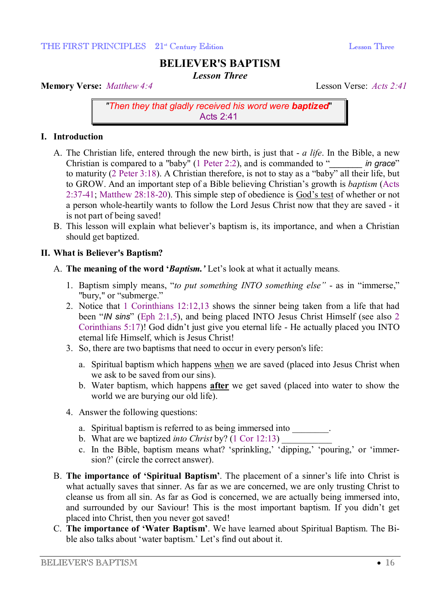# **BELIEVER'S BAPTISM**

*Lesson Three* 

**Memory Verse:** *Matthew 4:4* Lesson Verse: *Acts 2:41*

*"Then they that gladly received his word were baptized*" Acts 2:41

## **I. Introduction**

- A. The Christian life, entered through the new birth, is just that *a life*. In the Bible, a new Christian is compared to a "baby" (1 Peter 2:2), and is commanded to "*\_\_\_\_\_\_\_ in grace*" to maturity (2 Peter 3:18). A Christian therefore, is not to stay as a "baby" all their life, but to GROW. And an important step of a Bible believing Christian's growth is *baptism* (Acts 2:37-41; Matthew 28:18-20). This simple step of obedience is God's test of whether or not a person whole-heartily wants to follow the Lord Jesus Christ now that they are saved - it is not part of being saved!
- B. This lesson will explain what believer's baptism is, its importance, and when a Christian should get baptized.

## **II. What is Believer's Baptism?**

- A. **The meaning of the word '***Baptism.'* Let's look at what it actually means*.*
	- 1. Baptism simply means, "*to put something INTO something else"* as in "immerse," "bury," or "submerge."
	- 2. Notice that 1 Corinthians 12:12,13 shows the sinner being taken from a life that had been "*IN sins*" (Eph 2:1,5), and being placed INTO Jesus Christ Himself (see also 2 Corinthians 5:17)! God didn't just give you eternal life - He actually placed you INTO eternal life Himself, which is Jesus Christ!
	- 3. So, there are two baptisms that need to occur in every person's life:
		- a. Spiritual baptism which happens when we are saved (placed into Jesus Christ when we ask to be saved from our sins).
		- b. Water baptism, which happens **after** we get saved (placed into water to show the world we are burying our old life).
	- 4. Answer the following questions:
		- a. Spiritual baptism is referred to as being immersed into
		- b. What are we baptized *into Christ* by? (1 Cor 12:13)
		- c. In the Bible, baptism means what? 'sprinkling,' 'dipping,' 'pouring,' or 'immersion?' (circle the correct answer).
- B. **The importance of 'Spiritual Baptism'**. The placement of a sinner's life into Christ is what actually saves that sinner. As far as we are concerned, we are only trusting Christ to cleanse us from all sin. As far as God is concerned, we are actually being immersed into, and surrounded by our Saviour! This is the most important baptism. If you didn't get placed into Christ, then you never got saved!
- C. **The importance of 'Water Baptism'**. We have learned about Spiritual Baptism. The Bible also talks about 'water baptism.' Let's find out about it.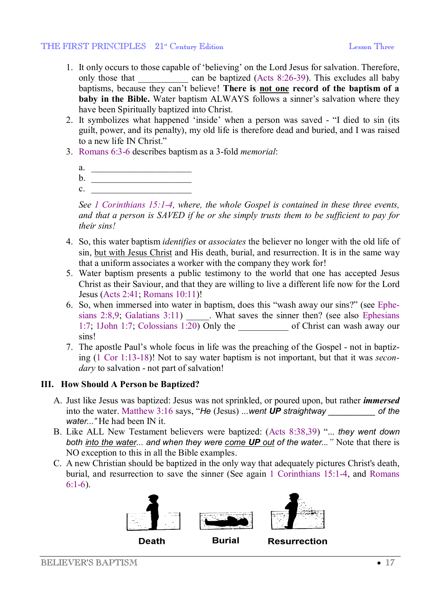#### THE FIRST PRINCIPLES 21<sup>st</sup> Century Edition Lesson Three

- 1. It only occurs to those capable of 'believing' on the Lord Jesus for salvation. Therefore, only those that \_\_\_\_\_\_\_\_\_\_\_ can be baptized (Acts 8:26-39). This excludes all baby baptisms, because they can't believe! **There is not one record of the baptism of a baby in the Bible.** Water baptism ALWAYS follows a sinner's salvation where they have been Spiritually baptized into Christ.
- 2. It symbolizes what happened 'inside' when a person was saved "I died to sin (its guilt, power, and its penalty), my old life is therefore dead and buried, and I was raised to a new life IN Christ."
- 3. Romans 6:3-6 describes baptism as a 3-fold *memorial*:
	- a.  $\qquad \qquad$
	- $b.$  $c.$

*See 1 Corinthians 15:1-4, where, the whole Gospel is contained in these three events, and that a person is SAVED if he or she simply trusts them to be sufficient to pay for their sins!*

- 4. So, this water baptism *identifies* or *associates* the believer no longer with the old life of sin, but with Jesus Christ and His death, burial, and resurrection. It is in the same way that a uniform associates a worker with the company they work for!
- 5. Water baptism presents a public testimony to the world that one has accepted Jesus Christ as their Saviour, and that they are willing to live a different life now for the Lord Jesus (Acts 2:41; Romans 10:11)!
- 6. So, when immersed into water in baptism, does this "wash away our sins?" (see Ephesians  $2:8.9$ ; Galatians  $3:11$  What saves the sinner then? (see also Ephesians 1:7; 1John 1:7; Colossians 1:20) Only the of Christ can wash away our sins!
- 7. The apostle Paul's whole focus in life was the preaching of the Gospel not in baptizing (1 Cor 1:13-18)! Not to say water baptism is not important, but that it was *secondary* to salvation - not part of salvation!

## **III. How Should A Person be Baptized?**

- A. Just like Jesus was baptized: Jesus was not sprinkled, or poured upon, but rather *immersed* into the water. Matthew 3:16 says, "*He* (Jesus) *...went UP* straightway of the *water..."* He had been IN it.
- B. Like ALL New Testament believers were baptized: (Acts 8:38,39) "... *they went down both into the water... and when they were come UP out of the water..."* Note that there is NO exception to this in all the Bible examples.
- C. A new Christian should be baptized in the only way that adequately pictures Christ's death, burial, and resurrection to save the sinner (See again 1 Corinthians 15:1-4, and Romans 6:1-6).





**Burial** 

**Resurrection** 

BELIEVER'S BAPTISM  $\bullet$  17